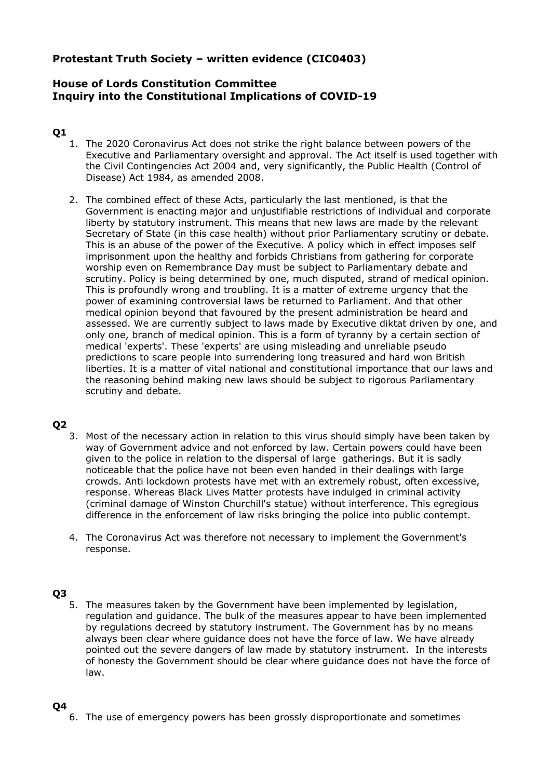# **Protestant Truth Society – written evidence (CIC0403)**

# **House of Lords Constitution Committee Inquiry into the Constitutional Implications of COVID-19**

# **Q1**

- 1. The 2020 Coronavirus Act does not strike the right balance between powers of the Executive and Parliamentary oversight and approval. The Act itself is used together with the Civil Contingencies Act 2004 and, very significantly, the Public Health (Control of Disease) Act 1984, as amended 2008.
- 2. The combined effect of these Acts, particularly the last mentioned, is that the Government is enacting major and unjustifiable restrictions of individual and corporate liberty by statutory instrument. This means that new laws are made by the relevant Secretary of State (in this case health) without prior Parliamentary scrutiny or debate. This is an abuse of the power of the Executive. A policy which in effect imposes self imprisonment upon the healthy and forbids Christians from gathering for corporate worship even on Remembrance Day must be subject to Parliamentary debate and scrutiny. Policy is being determined by one, much disputed, strand of medical opinion. This is profoundly wrong and troubling. It is a matter of extreme urgency that the power of examining controversial laws be returned to Parliament. And that other medical opinion beyond that favoured by the present administration be heard and assessed. We are currently subject to laws made by Executive diktat driven by one, and only one, branch of medical opinion. This is a form of tyranny by a certain section of medical 'experts'. These 'experts' are using misleading and unreliable pseudo predictions to scare people into surrendering long treasured and hard won British liberties. It is a matter of vital national and constitutional importance that our laws and the reasoning behind making new laws should be subject to rigorous Parliamentary scrutiny and debate.

## **Q2**

- 3. Most of the necessary action in relation to this virus should simply have been taken by way of Government advice and not enforced by law. Certain powers could have been given to the police in relation to the dispersal of large gatherings. But it is sadly noticeable that the police have not been even handed in their dealings with large crowds. Anti lockdown protests have met with an extremely robust, often excessive, response. Whereas Black Lives Matter protests have indulged in criminal activity (criminal damage of Winston Churchill's statue) without interference. This egregious difference in the enforcement of law risks bringing the police into public contempt.
- 4. The Coronavirus Act was therefore not necessary to implement the Government's response.

# **Q3**

5. The measures taken by the Government have been implemented by legislation, regulation and guidance. The bulk of the measures appear to have been implemented by regulations decreed by statutory instrument. The Government has by no means always been clear where guidance does not have the force of law. We have already pointed out the severe dangers of law made by statutory instrument. In the interests of honesty the Government should be clear where guidance does not have the force of law.

## **Q4**

6. The use of emergency powers has been grossly disproportionate and sometimes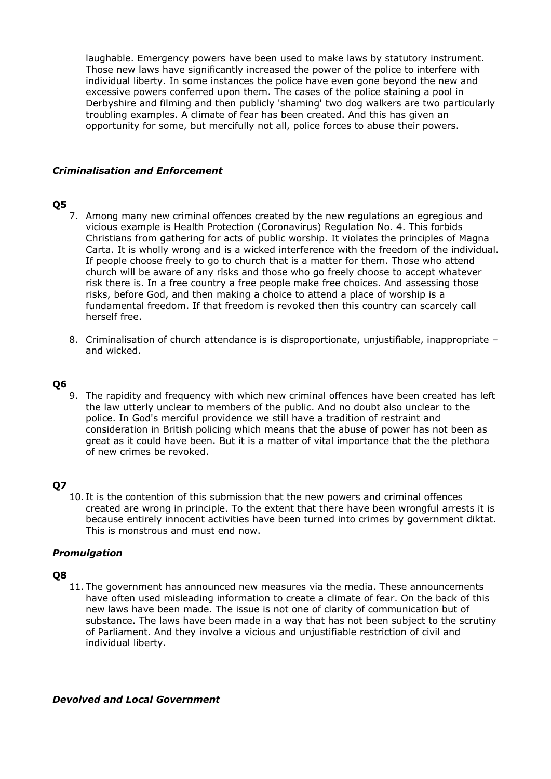laughable. Emergency powers have been used to make laws by statutory instrument. Those new laws have significantly increased the power of the police to interfere with individual liberty. In some instances the police have even gone beyond the new and excessive powers conferred upon them. The cases of the police staining a pool in Derbyshire and filming and then publicly 'shaming' two dog walkers are two particularly troubling examples. A climate of fear has been created. And this has given an opportunity for some, but mercifully not all, police forces to abuse their powers.

### *Criminalisation and Enforcement*

## **Q5**

- 7. Among many new criminal offences created by the new regulations an egregious and vicious example is Health Protection (Coronavirus) Regulation No. 4. This forbids Christians from gathering for acts of public worship. It violates the principles of Magna Carta. It is wholly wrong and is a wicked interference with the freedom of the individual. If people choose freely to go to church that is a matter for them. Those who attend church will be aware of any risks and those who go freely choose to accept whatever risk there is. In a free country a free people make free choices. And assessing those risks, before God, and then making a choice to attend a place of worship is a fundamental freedom. If that freedom is revoked then this country can scarcely call herself free.
- 8. Criminalisation of church attendance is is disproportionate, unjustifiable, inappropriate and wicked.

### **Q6**

9. The rapidity and frequency with which new criminal offences have been created has left the law utterly unclear to members of the public. And no doubt also unclear to the police. In God's merciful providence we still have a tradition of restraint and consideration in British policing which means that the abuse of power has not been as great as it could have been. But it is a matter of vital importance that the the plethora of new crimes be revoked.

### **Q7**

10. It is the contention of this submission that the new powers and criminal offences created are wrong in principle. To the extent that there have been wrongful arrests it is because entirely innocent activities have been turned into crimes by government diktat. This is monstrous and must end now.

### *Promulgation*

### **Q8**

11. The government has announced new measures via the media. These announcements have often used misleading information to create a climate of fear. On the back of this new laws have been made. The issue is not one of clarity of communication but of substance. The laws have been made in a way that has not been subject to the scrutiny of Parliament. And they involve a vicious and unjustifiable restriction of civil and individual liberty.

### *Devolved and Local Government*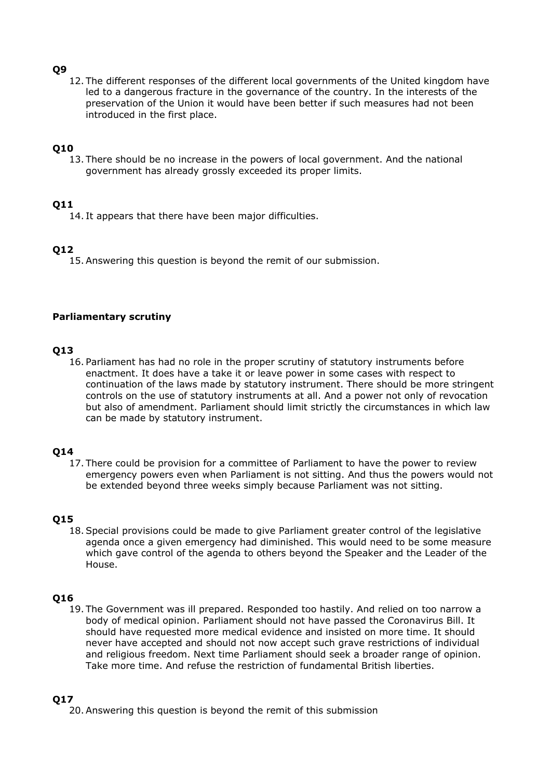### **Q9**

12. The different responses of the different local governments of the United kingdom have led to a dangerous fracture in the governance of the country. In the interests of the preservation of the Union it would have been better if such measures had not been introduced in the first place.

## **Q10**

13. There should be no increase in the powers of local government. And the national government has already grossly exceeded its proper limits.

## **Q11**

14. It appears that there have been major difficulties.

## **Q12**

15.Answering this question is beyond the remit of our submission.

### **Parliamentary scrutiny**

# **Q13**

16. Parliament has had no role in the proper scrutiny of statutory instruments before enactment. It does have a take it or leave power in some cases with respect to continuation of the laws made by statutory instrument. There should be more stringent controls on the use of statutory instruments at all. And a power not only of revocation but also of amendment. Parliament should limit strictly the circumstances in which law can be made by statutory instrument.

## **Q14**

17. There could be provision for a committee of Parliament to have the power to review emergency powers even when Parliament is not sitting. And thus the powers would not be extended beyond three weeks simply because Parliament was not sitting.

## **Q15**

18.Special provisions could be made to give Parliament greater control of the legislative agenda once a given emergency had diminished. This would need to be some measure which gave control of the agenda to others beyond the Speaker and the Leader of the House.

## **Q16**

19. The Government was ill prepared. Responded too hastily. And relied on too narrow a body of medical opinion. Parliament should not have passed the Coronavirus Bill. It should have requested more medical evidence and insisted on more time. It should never have accepted and should not now accept such grave restrictions of individual and religious freedom. Next time Parliament should seek a broader range of opinion. Take more time. And refuse the restriction of fundamental British liberties.

## **Q17**

20.Answering this question is beyond the remit of this submission